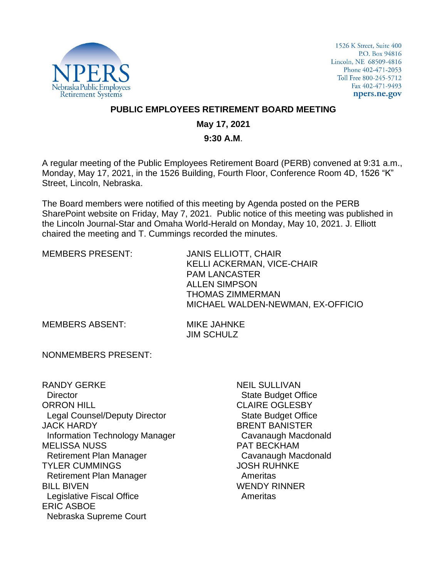

1526 K Street, Suite 400 P.O. Box 94816 Lincoln, NE 68509-4816 Phone 402-471-2053 Toll Free 800-245-5712 Fax 402-471-9493 npers.ne.gov

## **PUBLIC EMPLOYEES RETIREMENT BOARD MEETING**

# **May 17, 2021**

#### **9:30 A.M**.

A regular meeting of the Public Employees Retirement Board (PERB) convened at 9:31 a.m., Monday, May 17, 2021, in the 1526 Building, Fourth Floor, Conference Room 4D, 1526 "K" Street, Lincoln, Nebraska.

The Board members were notified of this meeting by Agenda posted on the PERB SharePoint website on Friday, May 7, 2021. Public notice of this meeting was published in the Lincoln Journal-Star and Omaha World-Herald on Monday, May 10, 2021. J. Elliott chaired the meeting and T. Cummings recorded the minutes.

MEMBERS PRESENT: JANIS ELLIOTT, CHAIR KELLI ACKERMAN, VICE-CHAIR PAM LANCASTER ALLEN SIMPSON THOMAS ZIMMERMAN MICHAEL WALDEN-NEWMAN, EX-OFFICIO

MEMBERS ABSENT: MIKE JAHNKE

JIM SCHULZ

NONMEMBERS PRESENT:

RANDY GERKE **Director** ORRON HILL Legal Counsel/Deputy Director JACK HARDY Information Technology Manager MELISSA NUSS Retirement Plan Manager TYLER CUMMINGS Retirement Plan Manager BILL BIVEN Legislative Fiscal Office ERIC ASBOE Nebraska Supreme Court

NEIL SULLIVAN State Budget Office CLAIRE OGLESBY State Budget Office BRENT BANISTER Cavanaugh Macdonald PAT BECKHAM Cavanaugh Macdonald JOSH RUHNKE Ameritas WENDY RINNER Ameritas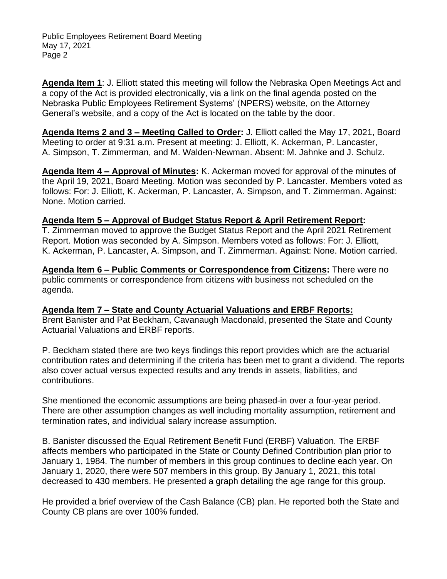**Agenda Item 1**: J. Elliott stated this meeting will follow the Nebraska Open Meetings Act and a copy of the Act is provided electronically, via a link on the final agenda posted on the Nebraska Public Employees Retirement Systems' (NPERS) website, on the Attorney General's website, and a copy of the Act is located on the table by the door.

**Agenda Items 2 and 3 – Meeting Called to Order:** J. Elliott called the May 17, 2021, Board Meeting to order at 9:31 a.m. Present at meeting: J. Elliott, K. Ackerman, P. Lancaster, A. Simpson, T. Zimmerman, and M. Walden-Newman. Absent: M. Jahnke and J. Schulz.

**Agenda Item 4 – Approval of Minutes:** K. Ackerman moved for approval of the minutes of the April 19, 2021, Board Meeting. Motion was seconded by P. Lancaster. Members voted as follows: For: J. Elliott, K. Ackerman, P. Lancaster, A. Simpson, and T. Zimmerman. Against: None. Motion carried.

## **Agenda Item 5 – Approval of Budget Status Report & April Retirement Report:**

T. Zimmerman moved to approve the Budget Status Report and the April 2021 Retirement Report. Motion was seconded by A. Simpson. Members voted as follows: For: J. Elliott, K. Ackerman, P. Lancaster, A. Simpson, and T. Zimmerman. Against: None. Motion carried.

**Agenda Item 6 – Public Comments or Correspondence from Citizens:** There were no public comments or correspondence from citizens with business not scheduled on the agenda.

**Agenda Item 7 – State and County Actuarial Valuations and ERBF Reports:** Brent Banister and Pat Beckham, Cavanaugh Macdonald, presented the State and County Actuarial Valuations and ERBF reports.

P. Beckham stated there are two keys findings this report provides which are the actuarial contribution rates and determining if the criteria has been met to grant a dividend. The reports also cover actual versus expected results and any trends in assets, liabilities, and contributions.

She mentioned the economic assumptions are being phased-in over a four-year period. There are other assumption changes as well including mortality assumption, retirement and termination rates, and individual salary increase assumption.

B. Banister discussed the Equal Retirement Benefit Fund (ERBF) Valuation. The ERBF affects members who participated in the State or County Defined Contribution plan prior to January 1, 1984. The number of members in this group continues to decline each year. On January 1, 2020, there were 507 members in this group. By January 1, 2021, this total decreased to 430 members. He presented a graph detailing the age range for this group.

He provided a brief overview of the Cash Balance (CB) plan. He reported both the State and County CB plans are over 100% funded.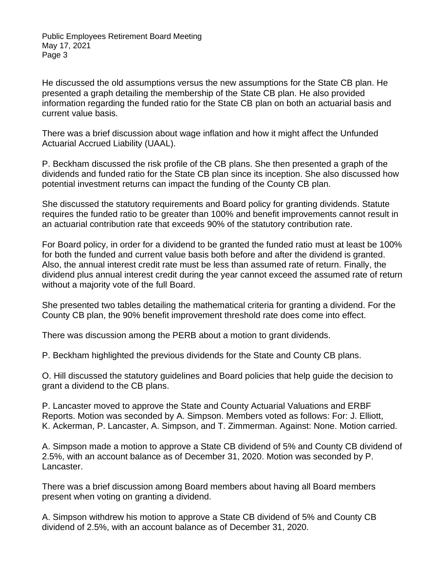He discussed the old assumptions versus the new assumptions for the State CB plan. He presented a graph detailing the membership of the State CB plan. He also provided information regarding the funded ratio for the State CB plan on both an actuarial basis and current value basis.

There was a brief discussion about wage inflation and how it might affect the Unfunded Actuarial Accrued Liability (UAAL).

P. Beckham discussed the risk profile of the CB plans. She then presented a graph of the dividends and funded ratio for the State CB plan since its inception. She also discussed how potential investment returns can impact the funding of the County CB plan.

She discussed the statutory requirements and Board policy for granting dividends. Statute requires the funded ratio to be greater than 100% and benefit improvements cannot result in an actuarial contribution rate that exceeds 90% of the statutory contribution rate.

For Board policy, in order for a dividend to be granted the funded ratio must at least be 100% for both the funded and current value basis both before and after the dividend is granted. Also, the annual interest credit rate must be less than assumed rate of return. Finally, the dividend plus annual interest credit during the year cannot exceed the assumed rate of return without a majority vote of the full Board.

She presented two tables detailing the mathematical criteria for granting a dividend. For the County CB plan, the 90% benefit improvement threshold rate does come into effect.

There was discussion among the PERB about a motion to grant dividends.

P. Beckham highlighted the previous dividends for the State and County CB plans.

O. Hill discussed the statutory guidelines and Board policies that help guide the decision to grant a dividend to the CB plans.

P. Lancaster moved to approve the State and County Actuarial Valuations and ERBF Reports. Motion was seconded by A. Simpson. Members voted as follows: For: J. Elliott, K. Ackerman, P. Lancaster, A. Simpson, and T. Zimmerman. Against: None. Motion carried.

A. Simpson made a motion to approve a State CB dividend of 5% and County CB dividend of 2.5%, with an account balance as of December 31, 2020. Motion was seconded by P. Lancaster.

There was a brief discussion among Board members about having all Board members present when voting on granting a dividend.

A. Simpson withdrew his motion to approve a State CB dividend of 5% and County CB dividend of 2.5%, with an account balance as of December 31, 2020.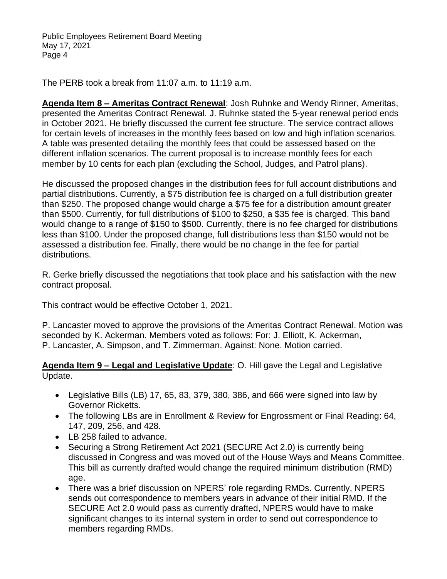The PERB took a break from 11:07 a.m. to 11:19 a.m.

**Agenda Item 8 – Ameritas Contract Renewal**: Josh Ruhnke and Wendy Rinner, Ameritas, presented the Ameritas Contract Renewal. J. Ruhnke stated the 5-year renewal period ends in October 2021. He briefly discussed the current fee structure. The service contract allows for certain levels of increases in the monthly fees based on low and high inflation scenarios. A table was presented detailing the monthly fees that could be assessed based on the different inflation scenarios. The current proposal is to increase monthly fees for each member by 10 cents for each plan (excluding the School, Judges, and Patrol plans).

He discussed the proposed changes in the distribution fees for full account distributions and partial distributions. Currently, a \$75 distribution fee is charged on a full distribution greater than \$250. The proposed change would charge a \$75 fee for a distribution amount greater than \$500. Currently, for full distributions of \$100 to \$250, a \$35 fee is charged. This band would change to a range of \$150 to \$500. Currently, there is no fee charged for distributions less than \$100. Under the proposed change, full distributions less than \$150 would not be assessed a distribution fee. Finally, there would be no change in the fee for partial distributions.

R. Gerke briefly discussed the negotiations that took place and his satisfaction with the new contract proposal.

This contract would be effective October 1, 2021.

P. Lancaster moved to approve the provisions of the Ameritas Contract Renewal. Motion was seconded by K. Ackerman. Members voted as follows: For: J. Elliott, K. Ackerman, P. Lancaster, A. Simpson, and T. Zimmerman. Against: None. Motion carried.

**Agenda Item 9 – Legal and Legislative Update**: O. Hill gave the Legal and Legislative Update.

- Legislative Bills (LB) 17, 65, 83, 379, 380, 386, and 666 were signed into law by Governor Ricketts.
- The following LBs are in Enrollment & Review for Engrossment or Final Reading: 64, 147, 209, 256, and 428.
- LB 258 failed to advance.
- Securing a Strong Retirement Act 2021 (SECURE Act 2.0) is currently being discussed in Congress and was moved out of the House Ways and Means Committee. This bill as currently drafted would change the required minimum distribution (RMD) age.
- There was a brief discussion on NPERS' role regarding RMDs. Currently, NPERS sends out correspondence to members years in advance of their initial RMD. If the SECURE Act 2.0 would pass as currently drafted, NPERS would have to make significant changes to its internal system in order to send out correspondence to members regarding RMDs.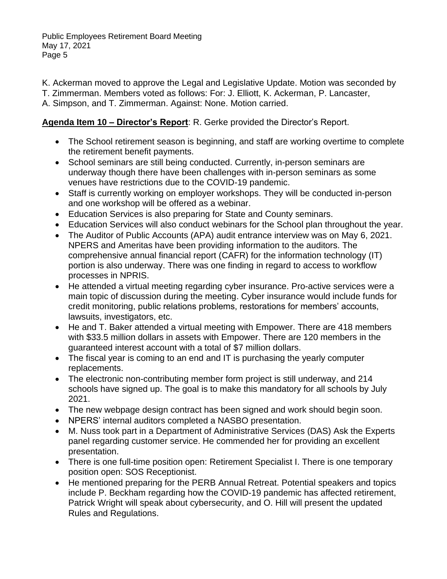K. Ackerman moved to approve the Legal and Legislative Update. Motion was seconded by

T. Zimmerman. Members voted as follows: For: J. Elliott, K. Ackerman, P. Lancaster,

A. Simpson, and T. Zimmerman. Against: None. Motion carried.

# **Agenda Item 10 – Director's Report**: R. Gerke provided the Director's Report.

- The School retirement season is beginning, and staff are working overtime to complete the retirement benefit payments.
- School seminars are still being conducted. Currently, in-person seminars are underway though there have been challenges with in-person seminars as some venues have restrictions due to the COVID-19 pandemic.
- Staff is currently working on employer workshops. They will be conducted in-person and one workshop will be offered as a webinar.
- Education Services is also preparing for State and County seminars.
- Education Services will also conduct webinars for the School plan throughout the year.
- The Auditor of Public Accounts (APA) audit entrance interview was on May 6, 2021. NPERS and Ameritas have been providing information to the auditors. The comprehensive annual financial report (CAFR) for the information technology (IT) portion is also underway. There was one finding in regard to access to workflow processes in NPRIS.
- He attended a virtual meeting regarding cyber insurance. Pro-active services were a main topic of discussion during the meeting. Cyber insurance would include funds for credit monitoring, public relations problems, restorations for members' accounts, lawsuits, investigators, etc.
- He and T. Baker attended a virtual meeting with Empower. There are 418 members with \$33.5 million dollars in assets with Empower. There are 120 members in the guaranteed interest account with a total of \$7 million dollars.
- The fiscal year is coming to an end and IT is purchasing the yearly computer replacements.
- The electronic non-contributing member form project is still underway, and 214 schools have signed up. The goal is to make this mandatory for all schools by July 2021.
- The new webpage design contract has been signed and work should begin soon.
- NPERS' internal auditors completed a NASBO presentation.
- M. Nuss took part in a Department of Administrative Services (DAS) Ask the Experts panel regarding customer service. He commended her for providing an excellent presentation.
- There is one full-time position open: Retirement Specialist I. There is one temporary position open: SOS Receptionist.
- He mentioned preparing for the PERB Annual Retreat. Potential speakers and topics include P. Beckham regarding how the COVID-19 pandemic has affected retirement, Patrick Wright will speak about cybersecurity, and O. Hill will present the updated Rules and Regulations.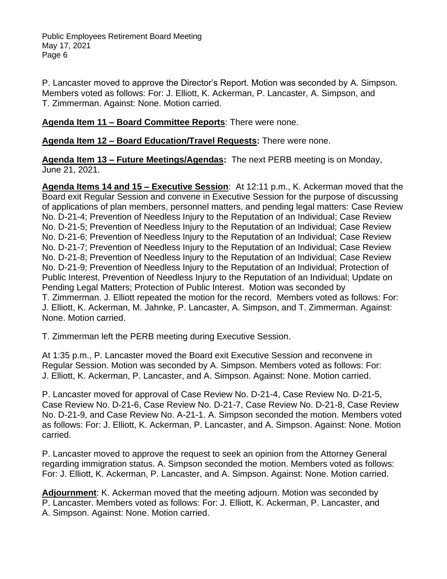P. Lancaster moved to approve the Director's Report. Motion was seconded by A. Simpson. Members voted as follows: For: J. Elliott, K. Ackerman, P. Lancaster, A. Simpson, and T. Zimmerman. Against: None. Motion carried.

**Agenda Item 11 – Board Committee Reports**: There were none.

**Agenda Item 12 – Board Education/Travel Requests:** There were none.

**Agenda Item 13 – Future Meetings/Agendas:** The next PERB meeting is on Monday, June 21, 2021.

**Agenda Items 14 and 15 – Executive Session**: At 12:11 p.m., K. Ackerman moved that the Board exit Regular Session and convene in Executive Session for the purpose of discussing of applications of plan members, personnel matters, and pending legal matters: Case Review No. D-21-4; Prevention of Needless Injury to the Reputation of an Individual; Case Review No. D-21-5; Prevention of Needless Injury to the Reputation of an Individual; Case Review No. D-21-6; Prevention of Needless Injury to the Reputation of an Individual; Case Review No. D-21-7; Prevention of Needless Injury to the Reputation of an Individual; Case Review No. D-21-8; Prevention of Needless Injury to the Reputation of an Individual; Case Review No. D-21-9; Prevention of Needless Injury to the Reputation of an Individual; Protection of Public Interest, Prevention of Needless Injury to the Reputation of an Individual; Update on Pending Legal Matters; Protection of Public Interest. Motion was seconded by T. Zimmerman. J. Elliott repeated the motion for the record. Members voted as follows: For: J. Elliott, K. Ackerman, M. Jahnke, P. Lancaster, A. Simpson, and T. Zimmerman. Against: None. Motion carried.

T. Zimmerman left the PERB meeting during Executive Session.

At 1:35 p.m., P. Lancaster moved the Board exit Executive Session and reconvene in Regular Session. Motion was seconded by A. Simpson. Members voted as follows: For: J. Elliott, K. Ackerman, P. Lancaster, and A. Simpson. Against: None. Motion carried.

P. Lancaster moved for approval of Case Review No. D-21-4, Case Review No. D-21-5, Case Review No. D-21-6, Case Review No. D-21-7, Case Review No. D-21-8, Case Review No. D-21-9, and Case Review No. A-21-1. A. Simpson seconded the motion. Members voted as follows: For: J. Elliott, K. Ackerman, P. Lancaster, and A. Simpson. Against: None. Motion carried.

P. Lancaster moved to approve the request to seek an opinion from the Attorney General regarding immigration status. A. Simpson seconded the motion. Members voted as follows: For: J. Elliott, K. Ackerman, P. Lancaster, and A. Simpson. Against: None. Motion carried.

**Adjournment**: K. Ackerman moved that the meeting adjourn. Motion was seconded by P. Lancaster. Members voted as follows: For: J. Elliott, K. Ackerman, P. Lancaster, and A. Simpson. Against: None. Motion carried.